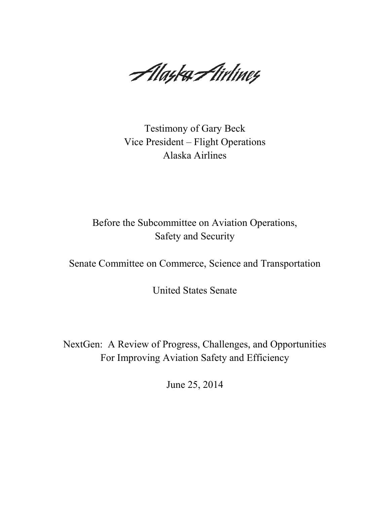Alayka Airliney

Testimony of Gary Beck Vice President – Flight Operations Alaska Airlines

Before the Subcommittee on Aviation Operations, Safety and Security

Senate Committee on Commerce, Science and Transportation

United States Senate

NextGen: A Review of Progress, Challenges, and Opportunities For Improving Aviation Safety and Efficiency

June 25, 2014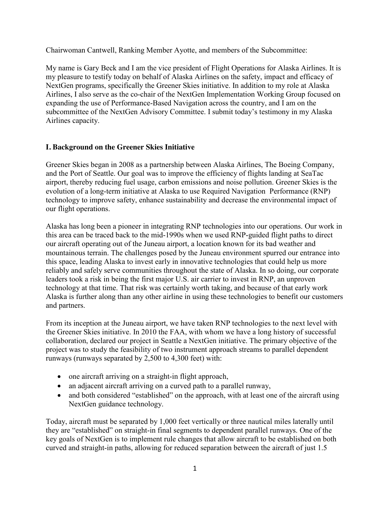Chairwoman Cantwell, Ranking Member Ayotte, and members of the Subcommittee:

My name is Gary Beck and I am the vice president of Flight Operations for Alaska Airlines. It is my pleasure to testify today on behalf of Alaska Airlines on the safety, impact and efficacy of NextGen programs, specifically the Greener Skies initiative. In addition to my role at Alaska Airlines, I also serve as the co-chair of the NextGen Implementation Working Group focused on expanding the use of Performance-Based Navigation across the country, and I am on the subcommittee of the NextGen Advisory Committee. I submit today's testimony in my Alaska Airlines capacity.

## **I. Background on the Greener Skies Initiative**

Greener Skies began in 2008 as a partnership between Alaska Airlines, The Boeing Company, and the Port of Seattle. Our goal was to improve the efficiency of flights landing at SeaTac airport, thereby reducing fuel usage, carbon emissions and noise pollution. Greener Skies is the evolution of a long-term initiative at Alaska to use Required Navigation Performance (RNP) technology to improve safety, enhance sustainability and decrease the environmental impact of our flight operations.

Alaska has long been a pioneer in integrating RNP technologies into our operations. Our work in this area can be traced back to the mid-1990s when we used RNP-guided flight paths to direct our aircraft operating out of the Juneau airport, a location known for its bad weather and mountainous terrain. The challenges posed by the Juneau environment spurred our entrance into this space, leading Alaska to invest early in innovative technologies that could help us more reliably and safely serve communities throughout the state of Alaska. In so doing, our corporate leaders took a risk in being the first major U.S. air carrier to invest in RNP, an unproven technology at that time. That risk was certainly worth taking, and because of that early work Alaska is further along than any other airline in using these technologies to benefit our customers and partners.

From its inception at the Juneau airport, we have taken RNP technologies to the next level with the Greener Skies initiative. In 2010 the FAA, with whom we have a long history of successful collaboration, declared our project in Seattle a NextGen initiative. The primary objective of the project was to study the feasibility of two instrument approach streams to parallel dependent runways (runways separated by 2,500 to 4,300 feet) with:

- one aircraft arriving on a straight-in flight approach,
- an adjacent aircraft arriving on a curved path to a parallel runway,
- and both considered "established" on the approach, with at least one of the aircraft using NextGen guidance technology.

Today, aircraft must be separated by 1,000 feet vertically or three nautical miles laterally until they are "established" on straight-in final segments to dependent parallel runways. One of the key goals of NextGen is to implement rule changes that allow aircraft to be established on both curved and straight-in paths, allowing for reduced separation between the aircraft of just 1.5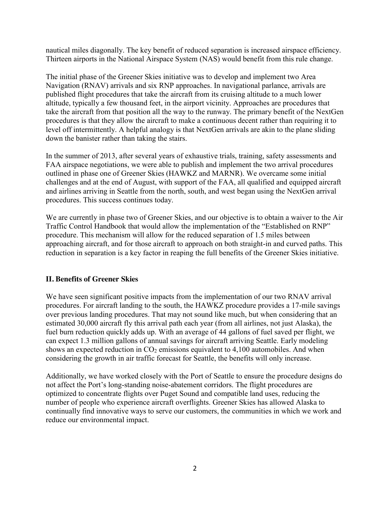nautical miles diagonally. The key benefit of reduced separation is increased airspace efficiency. Thirteen airports in the National Airspace System (NAS) would benefit from this rule change.

The initial phase of the Greener Skies initiative was to develop and implement two Area Navigation (RNAV) arrivals and six RNP approaches. In navigational parlance, arrivals are published flight procedures that take the aircraft from its cruising altitude to a much lower altitude, typically a few thousand feet, in the airport vicinity. Approaches are procedures that take the aircraft from that position all the way to the runway. The primary benefit of the NextGen procedures is that they allow the aircraft to make a continuous decent rather than requiring it to level off intermittently. A helpful analogy is that NextGen arrivals are akin to the plane sliding down the banister rather than taking the stairs.

In the summer of 2013, after several years of exhaustive trials, training, safety assessments and FAA airspace negotiations, we were able to publish and implement the two arrival procedures outlined in phase one of Greener Skies (HAWKZ and MARNR). We overcame some initial challenges and at the end of August, with support of the FAA, all qualified and equipped aircraft and airlines arriving in Seattle from the north, south, and west began using the NextGen arrival procedures. This success continues today.

We are currently in phase two of Greener Skies, and our objective is to obtain a waiver to the Air Traffic Control Handbook that would allow the implementation of the "Established on RNP" procedure. This mechanism will allow for the reduced separation of 1.5 miles between approaching aircraft, and for those aircraft to approach on both straight-in and curved paths. This reduction in separation is a key factor in reaping the full benefits of the Greener Skies initiative.

## **II. Benefits of Greener Skies**

We have seen significant positive impacts from the implementation of our two RNAV arrival procedures. For aircraft landing to the south, the HAWKZ procedure provides a 17-mile savings over previous landing procedures. That may not sound like much, but when considering that an estimated 30,000 aircraft fly this arrival path each year (from all airlines, not just Alaska), the fuel burn reduction quickly adds up. With an average of 44 gallons of fuel saved per flight, we can expect 1.3 million gallons of annual savings for aircraft arriving Seattle. Early modeling shows an expected reduction in  $CO<sub>2</sub>$  emissions equivalent to 4,100 automobiles. And when considering the growth in air traffic forecast for Seattle, the benefits will only increase.

Additionally, we have worked closely with the Port of Seattle to ensure the procedure designs do not affect the Port's long-standing noise-abatement corridors. The flight procedures are optimized to concentrate flights over Puget Sound and compatible land uses, reducing the number of people who experience aircraft overflights. Greener Skies has allowed Alaska to continually find innovative ways to serve our customers, the communities in which we work and reduce our environmental impact.